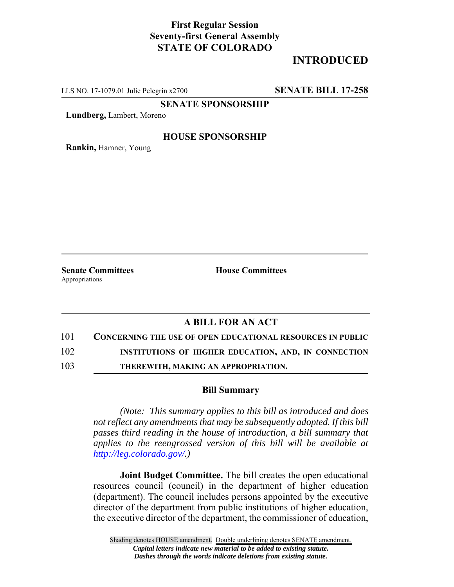## **First Regular Session Seventy-first General Assembly STATE OF COLORADO**

# **INTRODUCED**

LLS NO. 17-1079.01 Julie Pelegrin x2700 **SENATE BILL 17-258**

**SENATE SPONSORSHIP**

**Lundberg,** Lambert, Moreno

### **HOUSE SPONSORSHIP**

**Rankin,** Hamner, Young

Appropriations

**Senate Committees House Committees** 

### **A BILL FOR AN ACT**

101 **CONCERNING THE USE OF OPEN EDUCATIONAL RESOURCES IN PUBLIC**

102 **INSTITUTIONS OF HIGHER EDUCATION, AND, IN CONNECTION**

103 **THEREWITH, MAKING AN APPROPRIATION.**

#### **Bill Summary**

*(Note: This summary applies to this bill as introduced and does not reflect any amendments that may be subsequently adopted. If this bill passes third reading in the house of introduction, a bill summary that applies to the reengrossed version of this bill will be available at http://leg.colorado.gov/.)*

**Joint Budget Committee.** The bill creates the open educational resources council (council) in the department of higher education (department). The council includes persons appointed by the executive director of the department from public institutions of higher education, the executive director of the department, the commissioner of education,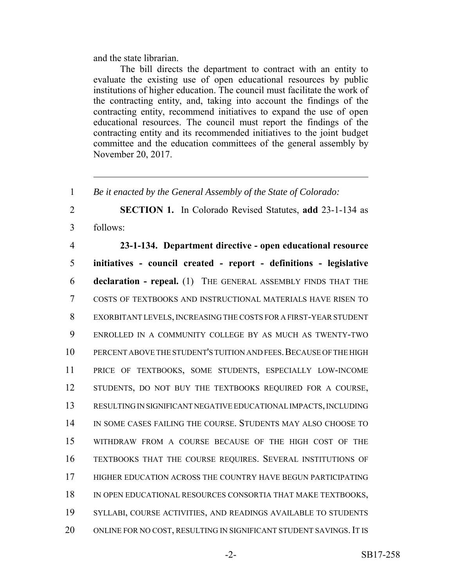and the state librarian.

The bill directs the department to contract with an entity to evaluate the existing use of open educational resources by public institutions of higher education. The council must facilitate the work of the contracting entity, and, taking into account the findings of the contracting entity, recommend initiatives to expand the use of open educational resources. The council must report the findings of the contracting entity and its recommended initiatives to the joint budget committee and the education committees of the general assembly by November 20, 2017.

 *Be it enacted by the General Assembly of the State of Colorado:* **SECTION 1.** In Colorado Revised Statutes, **add** 23-1-134 as 3 follows: **23-1-134. Department directive - open educational resource initiatives - council created - report - definitions - legislative declaration - repeal.** (1) THE GENERAL ASSEMBLY FINDS THAT THE COSTS OF TEXTBOOKS AND INSTRUCTIONAL MATERIALS HAVE RISEN TO EXORBITANT LEVELS, INCREASING THE COSTS FOR A FIRST-YEAR STUDENT ENROLLED IN A COMMUNITY COLLEGE BY AS MUCH AS TWENTY-TWO 10 PERCENT ABOVE THE STUDENT'S TUITION AND FEES. BECAUSE OF THE HIGH PRICE OF TEXTBOOKS, SOME STUDENTS, ESPECIALLY LOW-INCOME STUDENTS, DO NOT BUY THE TEXTBOOKS REQUIRED FOR A COURSE, RESULTING IN SIGNIFICANT NEGATIVE EDUCATIONAL IMPACTS, INCLUDING IN SOME CASES FAILING THE COURSE. STUDENTS MAY ALSO CHOOSE TO WITHDRAW FROM A COURSE BECAUSE OF THE HIGH COST OF THE TEXTBOOKS THAT THE COURSE REQUIRES. SEVERAL INSTITUTIONS OF 17 HIGHER EDUCATION ACROSS THE COUNTRY HAVE BEGUN PARTICIPATING 18 IN OPEN EDUCATIONAL RESOURCES CONSORTIA THAT MAKE TEXTBOOKS, SYLLABI, COURSE ACTIVITIES, AND READINGS AVAILABLE TO STUDENTS 20 ONLINE FOR NO COST, RESULTING IN SIGNIFICANT STUDENT SAVINGS. IT IS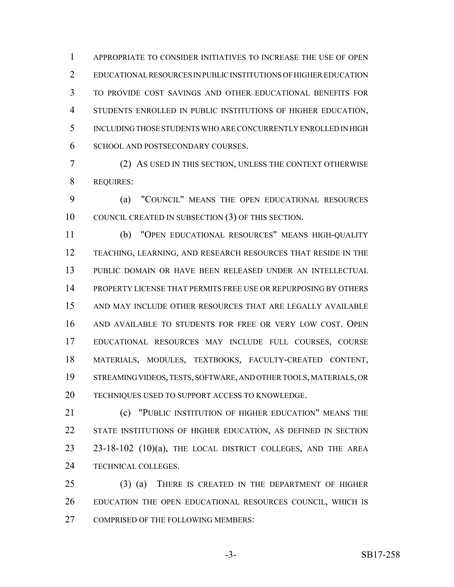APPROPRIATE TO CONSIDER INITIATIVES TO INCREASE THE USE OF OPEN EDUCATIONAL RESOURCES IN PUBLIC INSTITUTIONS OF HIGHER EDUCATION TO PROVIDE COST SAVINGS AND OTHER EDUCATIONAL BENEFITS FOR STUDENTS ENROLLED IN PUBLIC INSTITUTIONS OF HIGHER EDUCATION, INCLUDING THOSE STUDENTS WHO ARE CONCURRENTLY ENROLLED IN HIGH SCHOOL AND POSTSECONDARY COURSES.

 (2) AS USED IN THIS SECTION, UNLESS THE CONTEXT OTHERWISE REQUIRES:

 (a) "COUNCIL" MEANS THE OPEN EDUCATIONAL RESOURCES COUNCIL CREATED IN SUBSECTION (3) OF THIS SECTION.

 (b) "OPEN EDUCATIONAL RESOURCES" MEANS HIGH-QUALITY TEACHING, LEARNING, AND RESEARCH RESOURCES THAT RESIDE IN THE PUBLIC DOMAIN OR HAVE BEEN RELEASED UNDER AN INTELLECTUAL PROPERTY LICENSE THAT PERMITS FREE USE OR REPURPOSING BY OTHERS AND MAY INCLUDE OTHER RESOURCES THAT ARE LEGALLY AVAILABLE AND AVAILABLE TO STUDENTS FOR FREE OR VERY LOW COST. OPEN EDUCATIONAL RESOURCES MAY INCLUDE FULL COURSES, COURSE MATERIALS, MODULES, TEXTBOOKS, FACULTY-CREATED CONTENT, STREAMING VIDEOS, TESTS, SOFTWARE, AND OTHER TOOLS, MATERIALS, OR TECHNIQUES USED TO SUPPORT ACCESS TO KNOWLEDGE.

**(c)** "PUBLIC INSTITUTION OF HIGHER EDUCATION" MEANS THE STATE INSTITUTIONS OF HIGHER EDUCATION, AS DEFINED IN SECTION 23 23-18-102 (10)(a), THE LOCAL DISTRICT COLLEGES, AND THE AREA TECHNICAL COLLEGES.

 (3) (a) THERE IS CREATED IN THE DEPARTMENT OF HIGHER EDUCATION THE OPEN EDUCATIONAL RESOURCES COUNCIL, WHICH IS 27 COMPRISED OF THE FOLLOWING MEMBERS: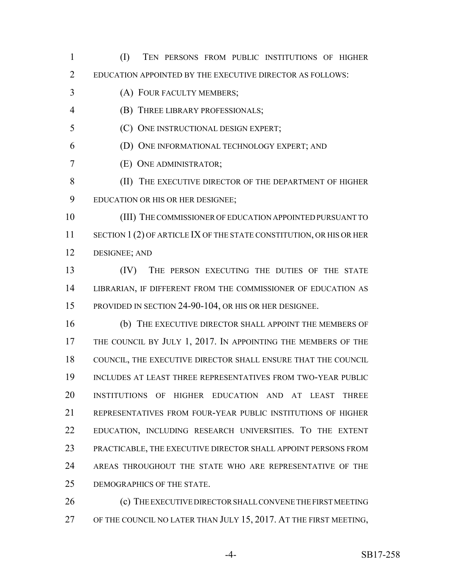(I) TEN PERSONS FROM PUBLIC INSTITUTIONS OF HIGHER EDUCATION APPOINTED BY THE EXECUTIVE DIRECTOR AS FOLLOWS: (A) FOUR FACULTY MEMBERS; (B) THREE LIBRARY PROFESSIONALS; (C) ONE INSTRUCTIONAL DESIGN EXPERT; (D) ONE INFORMATIONAL TECHNOLOGY EXPERT; AND (E) ONE ADMINISTRATOR; 8 (II) THE EXECUTIVE DIRECTOR OF THE DEPARTMENT OF HIGHER EDUCATION OR HIS OR HER DESIGNEE; (III) THE COMMISSIONER OF EDUCATION APPOINTED PURSUANT TO 11 SECTION 1 (2) OF ARTICLE IX OF THE STATE CONSTITUTION, OR HIS OR HER DESIGNEE; AND (IV) THE PERSON EXECUTING THE DUTIES OF THE STATE LIBRARIAN, IF DIFFERENT FROM THE COMMISSIONER OF EDUCATION AS PROVIDED IN SECTION 24-90-104, OR HIS OR HER DESIGNEE. (b) THE EXECUTIVE DIRECTOR SHALL APPOINT THE MEMBERS OF 17 THE COUNCIL BY JULY 1, 2017. IN APPOINTING THE MEMBERS OF THE COUNCIL, THE EXECUTIVE DIRECTOR SHALL ENSURE THAT THE COUNCIL INCLUDES AT LEAST THREE REPRESENTATIVES FROM TWO-YEAR PUBLIC INSTITUTIONS OF HIGHER EDUCATION AND AT LEAST THREE REPRESENTATIVES FROM FOUR-YEAR PUBLIC INSTITUTIONS OF HIGHER EDUCATION, INCLUDING RESEARCH UNIVERSITIES. TO THE EXTENT PRACTICABLE, THE EXECUTIVE DIRECTOR SHALL APPOINT PERSONS FROM AREAS THROUGHOUT THE STATE WHO ARE REPRESENTATIVE OF THE DEMOGRAPHICS OF THE STATE. 26 (c) THE EXECUTIVE DIRECTOR SHALL CONVENE THE FIRST MEETING OF THE COUNCIL NO LATER THAN JULY 15, 2017. AT THE FIRST MEETING,

-4- SB17-258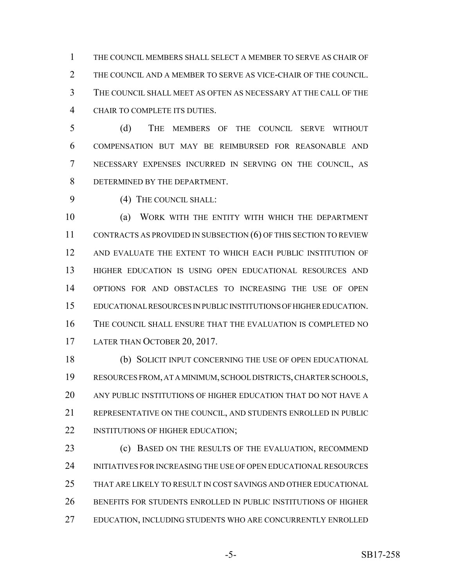THE COUNCIL MEMBERS SHALL SELECT A MEMBER TO SERVE AS CHAIR OF THE COUNCIL AND A MEMBER TO SERVE AS VICE-CHAIR OF THE COUNCIL. THE COUNCIL SHALL MEET AS OFTEN AS NECESSARY AT THE CALL OF THE CHAIR TO COMPLETE ITS DUTIES.

 (d) THE MEMBERS OF THE COUNCIL SERVE WITHOUT COMPENSATION BUT MAY BE REIMBURSED FOR REASONABLE AND NECESSARY EXPENSES INCURRED IN SERVING ON THE COUNCIL, AS DETERMINED BY THE DEPARTMENT.

9 (4) THE COUNCIL SHALL:

 (a) WORK WITH THE ENTITY WITH WHICH THE DEPARTMENT CONTRACTS AS PROVIDED IN SUBSECTION (6) OF THIS SECTION TO REVIEW AND EVALUATE THE EXTENT TO WHICH EACH PUBLIC INSTITUTION OF HIGHER EDUCATION IS USING OPEN EDUCATIONAL RESOURCES AND OPTIONS FOR AND OBSTACLES TO INCREASING THE USE OF OPEN EDUCATIONAL RESOURCES IN PUBLIC INSTITUTIONS OF HIGHER EDUCATION. THE COUNCIL SHALL ENSURE THAT THE EVALUATION IS COMPLETED NO 17 LATER THAN OCTOBER 20, 2017.

 (b) SOLICIT INPUT CONCERNING THE USE OF OPEN EDUCATIONAL RESOURCES FROM, AT A MINIMUM, SCHOOL DISTRICTS, CHARTER SCHOOLS, ANY PUBLIC INSTITUTIONS OF HIGHER EDUCATION THAT DO NOT HAVE A REPRESENTATIVE ON THE COUNCIL, AND STUDENTS ENROLLED IN PUBLIC 22 INSTITUTIONS OF HIGHER EDUCATION;

**(c) BASED ON THE RESULTS OF THE EVALUATION, RECOMMEND**  INITIATIVES FOR INCREASING THE USE OF OPEN EDUCATIONAL RESOURCES THAT ARE LIKELY TO RESULT IN COST SAVINGS AND OTHER EDUCATIONAL BENEFITS FOR STUDENTS ENROLLED IN PUBLIC INSTITUTIONS OF HIGHER EDUCATION, INCLUDING STUDENTS WHO ARE CONCURRENTLY ENROLLED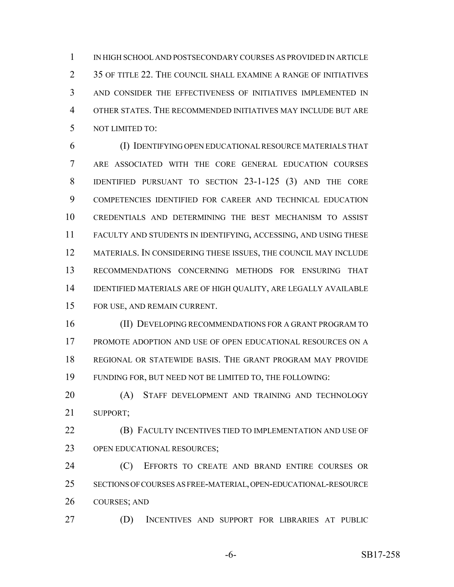IN HIGH SCHOOL AND POSTSECONDARY COURSES AS PROVIDED IN ARTICLE 2 35 OF TITLE 22. THE COUNCIL SHALL EXAMINE A RANGE OF INITIATIVES AND CONSIDER THE EFFECTIVENESS OF INITIATIVES IMPLEMENTED IN OTHER STATES. THE RECOMMENDED INITIATIVES MAY INCLUDE BUT ARE NOT LIMITED TO:

 (I) IDENTIFYING OPEN EDUCATIONAL RESOURCE MATERIALS THAT ARE ASSOCIATED WITH THE CORE GENERAL EDUCATION COURSES IDENTIFIED PURSUANT TO SECTION 23-1-125 (3) AND THE CORE COMPETENCIES IDENTIFIED FOR CAREER AND TECHNICAL EDUCATION CREDENTIALS AND DETERMINING THE BEST MECHANISM TO ASSIST FACULTY AND STUDENTS IN IDENTIFYING, ACCESSING, AND USING THESE MATERIALS. IN CONSIDERING THESE ISSUES, THE COUNCIL MAY INCLUDE RECOMMENDATIONS CONCERNING METHODS FOR ENSURING THAT IDENTIFIED MATERIALS ARE OF HIGH QUALITY, ARE LEGALLY AVAILABLE FOR USE, AND REMAIN CURRENT.

 (II) DEVELOPING RECOMMENDATIONS FOR A GRANT PROGRAM TO PROMOTE ADOPTION AND USE OF OPEN EDUCATIONAL RESOURCES ON A REGIONAL OR STATEWIDE BASIS. THE GRANT PROGRAM MAY PROVIDE FUNDING FOR, BUT NEED NOT BE LIMITED TO, THE FOLLOWING:

20 (A) STAFF DEVELOPMENT AND TRAINING AND TECHNOLOGY SUPPORT;

 (B) FACULTY INCENTIVES TIED TO IMPLEMENTATION AND USE OF 23 OPEN EDUCATIONAL RESOURCES;

**(C)** EFFORTS TO CREATE AND BRAND ENTIRE COURSES OR SECTIONS OF COURSES AS FREE-MATERIAL, OPEN-EDUCATIONAL-RESOURCE COURSES; AND

(D) INCENTIVES AND SUPPORT FOR LIBRARIES AT PUBLIC

-6- SB17-258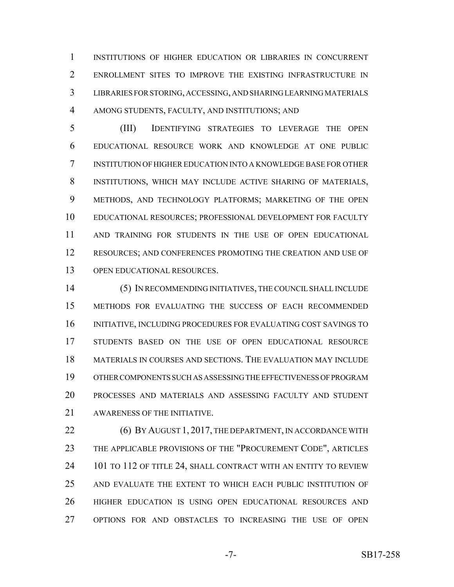INSTITUTIONS OF HIGHER EDUCATION OR LIBRARIES IN CONCURRENT ENROLLMENT SITES TO IMPROVE THE EXISTING INFRASTRUCTURE IN LIBRARIES FOR STORING, ACCESSING, AND SHARING LEARNING MATERIALS AMONG STUDENTS, FACULTY, AND INSTITUTIONS; AND

 (III) IDENTIFYING STRATEGIES TO LEVERAGE THE OPEN EDUCATIONAL RESOURCE WORK AND KNOWLEDGE AT ONE PUBLIC INSTITUTION OF HIGHER EDUCATION INTO A KNOWLEDGE BASE FOR OTHER INSTITUTIONS, WHICH MAY INCLUDE ACTIVE SHARING OF MATERIALS, METHODS, AND TECHNOLOGY PLATFORMS; MARKETING OF THE OPEN EDUCATIONAL RESOURCES; PROFESSIONAL DEVELOPMENT FOR FACULTY AND TRAINING FOR STUDENTS IN THE USE OF OPEN EDUCATIONAL 12 RESOURCES; AND CONFERENCES PROMOTING THE CREATION AND USE OF OPEN EDUCATIONAL RESOURCES.

 (5) IN RECOMMENDING INITIATIVES, THE COUNCIL SHALL INCLUDE METHODS FOR EVALUATING THE SUCCESS OF EACH RECOMMENDED INITIATIVE, INCLUDING PROCEDURES FOR EVALUATING COST SAVINGS TO STUDENTS BASED ON THE USE OF OPEN EDUCATIONAL RESOURCE MATERIALS IN COURSES AND SECTIONS. THE EVALUATION MAY INCLUDE OTHER COMPONENTS SUCH AS ASSESSING THE EFFECTIVENESS OF PROGRAM PROCESSES AND MATERIALS AND ASSESSING FACULTY AND STUDENT AWARENESS OF THE INITIATIVE.

**(6) BY AUGUST 1, 2017, THE DEPARTMENT, IN ACCORDANCE WITH**  THE APPLICABLE PROVISIONS OF THE "PROCUREMENT CODE", ARTICLES 24 101 TO 112 OF TITLE 24, SHALL CONTRACT WITH AN ENTITY TO REVIEW AND EVALUATE THE EXTENT TO WHICH EACH PUBLIC INSTITUTION OF HIGHER EDUCATION IS USING OPEN EDUCATIONAL RESOURCES AND OPTIONS FOR AND OBSTACLES TO INCREASING THE USE OF OPEN